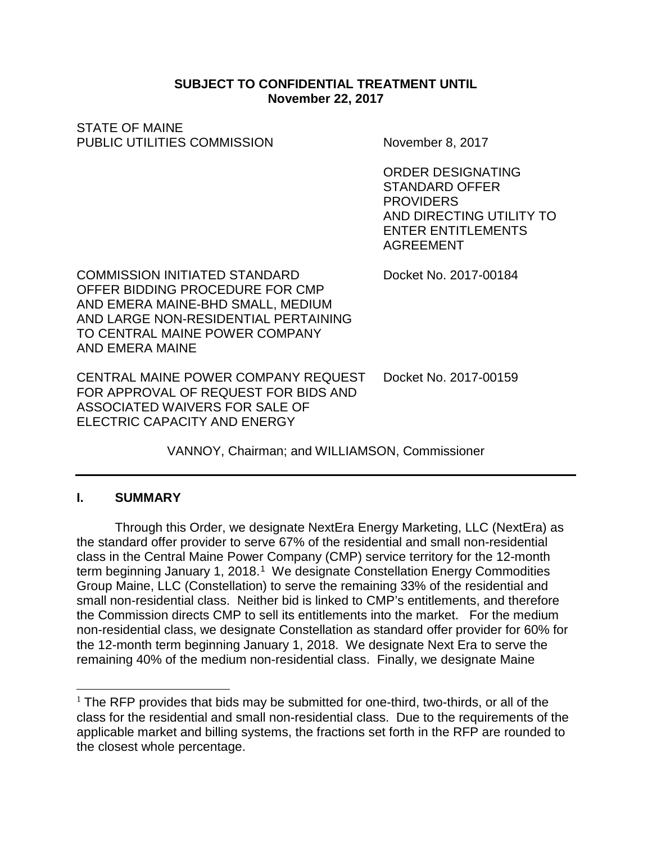### **SUBJECT TO CONFIDENTIAL TREATMENT UNTIL November 22, 2017**

STATE OF MAINE PUBLIC UTILITIES COMMISSION November 8, 2017

ORDER DESIGNATING STANDARD OFFER **PROVIDERS** AND DIRECTING UTILITY TO ENTER ENTITLEMENTS AGREEMENT

COMMISSION INITIATED STANDARD Docket No. 2017-00184 OFFER BIDDING PROCEDURE FOR CMP AND EMERA MAINE-BHD SMALL, MEDIUM AND LARGE NON-RESIDENTIAL PERTAINING TO CENTRAL MAINE POWER COMPANY AND EMERA MAINE

CENTRAL MAINE POWER COMPANY REQUEST Docket No. 2017-00159 FOR APPROVAL OF REQUEST FOR BIDS AND ASSOCIATED WAIVERS FOR SALE OF ELECTRIC CAPACITY AND ENERGY

VANNOY, Chairman; and WILLIAMSON, Commissioner

## **I. SUMMARY**

Through this Order, we designate NextEra Energy Marketing, LLC (NextEra) as the standard offer provider to serve 67% of the residential and small non-residential class in the Central Maine Power Company (CMP) service territory for the 12-month term beginning January [1](#page-0-0), 2018.<sup>1</sup> We designate Constellation Energy Commodities Group Maine, LLC (Constellation) to serve the remaining 33% of the residential and small non-residential class. Neither bid is linked to CMP's entitlements, and therefore the Commission directs CMP to sell its entitlements into the market. For the medium non-residential class, we designate Constellation as standard offer provider for 60% for the 12-month term beginning January 1, 2018. We designate Next Era to serve the remaining 40% of the medium non-residential class. Finally, we designate Maine

<span id="page-0-0"></span> $1$  The RFP provides that bids may be submitted for one-third, two-thirds, or all of the class for the residential and small non-residential class. Due to the requirements of the applicable market and billing systems, the fractions set forth in the RFP are rounded to the closest whole percentage.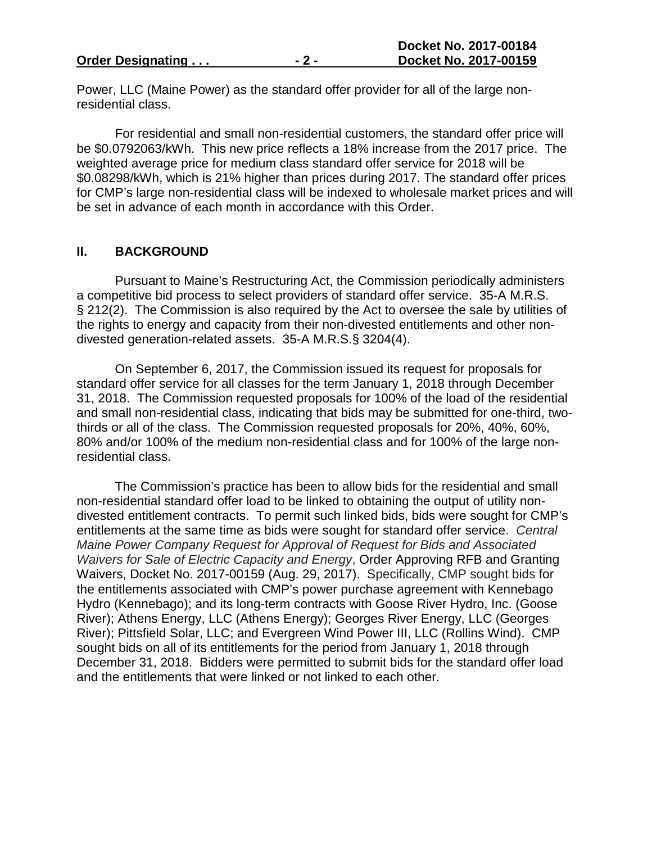Power, LLC (Maine Power) as the standard offer provider for all of the large nonresidential class.

For residential and small non-residential customers, the standard offer price will be \$0.0792063/kWh. This new price reflects a 18% increase from the 2017 price. The weighted average price for medium class standard offer service for 2018 will be \$0.08298/kWh, which is 21% higher than prices during 2017. The standard offer prices for CMP's large non-residential class will be indexed to wholesale market prices and will be set in advance of each month in accordance with this Order.

#### **II. BACKGROUND**

Pursuant to Maine's Restructuring Act, the Commission periodically administers a competitive bid process to select providers of standard offer service. 35-A M.R.S. § 212(2). The Commission is also required by the Act to oversee the sale by utilities of the rights to energy and capacity from their non-divested entitlements and other nondivested generation-related assets. 35-A M.R.S.§ 3204(4).

On September 6, 2017, the Commission issued its request for proposals for standard offer service for all classes for the term January 1, 2018 through December 31, 2018. The Commission requested proposals for 100% of the load of the residential and small non-residential class, indicating that bids may be submitted for one-third, twothirds or all of the class. The Commission requested proposals for 20%, 40%, 60%, 80% and/or 100% of the medium non-residential class and for 100% of the large nonresidential class.

The Commission's practice has been to allow bids for the residential and small non-residential standard offer load to be linked to obtaining the output of utility nondivested entitlement contracts. To permit such linked bids, bids were sought for CMP's entitlements at the same time as bids were sought for standard offer service. *Central Maine Power Company Request for Approval of Request for Bids and Associated Waivers for Sale of Electric Capacity and Energy*, Order Approving RFB and Granting Waivers, Docket No. 2017-00159 (Aug. 29, 2017). Specifically, CMP sought bids for the entitlements associated with CMP's power purchase agreement with Kennebago Hydro (Kennebago); and its long-term contracts with Goose River Hydro, Inc. (Goose River); Athens Energy, LLC (Athens Energy); Georges River Energy, LLC (Georges River); Pittsfield Solar, LLC; and Evergreen Wind Power III, LLC (Rollins Wind). CMP sought bids on all of its entitlements for the period from January 1, 2018 through December 31, 2018. Bidders were permitted to submit bids for the standard offer load and the entitlements that were linked or not linked to each other.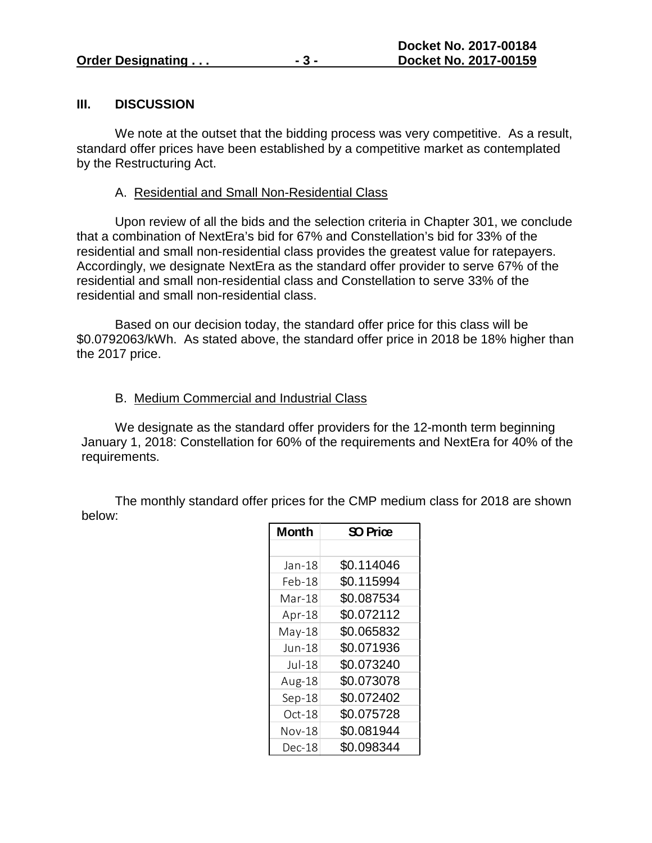#### **III. DISCUSSION**

We note at the outset that the bidding process was very competitive. As a result, standard offer prices have been established by a competitive market as contemplated by the Restructuring Act.

#### A. Residential and Small Non-Residential Class

Upon review of all the bids and the selection criteria in Chapter 301, we conclude that a combination of NextEra's bid for 67% and Constellation's bid for 33% of the residential and small non-residential class provides the greatest value for ratepayers. Accordingly, we designate NextEra as the standard offer provider to serve 67% of the residential and small non-residential class and Constellation to serve 33% of the residential and small non-residential class.

Based on our decision today, the standard offer price for this class will be \$0.0792063/kWh. As stated above, the standard offer price in 2018 be 18% higher than the 2017 price.

### B. Medium Commercial and Industrial Class

We designate as the standard offer providers for the 12-month term beginning January 1, 2018: Constellation for 60% of the requirements and NextEra for 40% of the requirements.

The monthly standard offer prices for the CMP medium class for 2018 are shown below:

| <b>Month</b> | SO Price   |
|--------------|------------|
|              |            |
| Jan-18       | \$0.114046 |
| Feb-18       | \$0.115994 |
| Mar-18       | \$0.087534 |
| Apr-18       | \$0.072112 |
| $May-18$     | \$0.065832 |
| Jun-18       | \$0.071936 |
| Jul-18       | \$0.073240 |
| Aug-18       | \$0.073078 |
| $Sep-18$     | \$0.072402 |
| Oct-18       | \$0.075728 |
| Nov-18       | \$0.081944 |
| Dec-18       | \$0.098344 |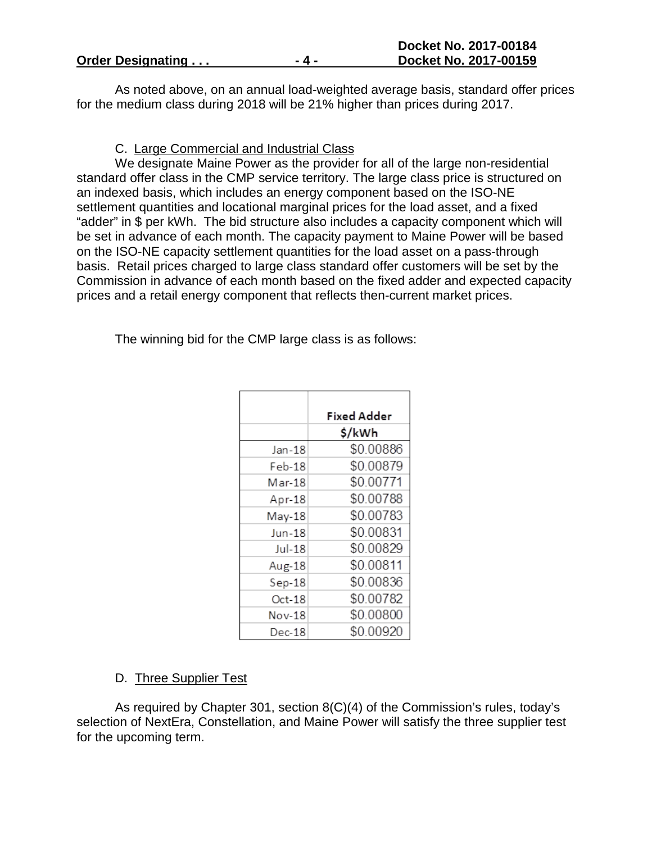|  |  |  |  |  | <b>Order Designating</b> |  |  |  |  |
|--|--|--|--|--|--------------------------|--|--|--|--|
|--|--|--|--|--|--------------------------|--|--|--|--|

As noted above, on an annual load-weighted average basis, standard offer prices for the medium class during 2018 will be 21% higher than prices during 2017.

C. Large Commercial and Industrial Class

We designate Maine Power as the provider for all of the large non-residential standard offer class in the CMP service territory. The large class price is structured on an indexed basis, which includes an energy component based on the ISO-NE settlement quantities and locational marginal prices for the load asset, and a fixed "adder" in \$ per kWh. The bid structure also includes a capacity component which will be set in advance of each month. The capacity payment to Maine Power will be based on the ISO-NE capacity settlement quantities for the load asset on a pass-through basis. Retail prices charged to large class standard offer customers will be set by the Commission in advance of each month based on the fixed adder and expected capacity prices and a retail energy component that reflects then-current market prices.

The winning bid for the CMP large class is as follows:

|          | Fixed Adder |
|----------|-------------|
|          | \$/kWh      |
| Jan-18   | \$0.00886   |
| Feb-18   | \$0.00879   |
| Mar-18   | \$0.00771   |
| Apr-18   | \$0.00788   |
| May-18   | \$0.00783   |
| Jun-18   | \$0.00831   |
| $Jul-18$ | \$0.00829   |
| Aug-18   | \$0.00811   |
| $Sep-18$ | \$0.00836   |
| $Oct-18$ | \$0.00782   |
| Nov-18   | \$0.00800   |
| Dec-18   | \$0.00920   |

## D. Three Supplier Test

As required by Chapter 301, section 8(C)(4) of the Commission's rules, today's selection of NextEra, Constellation, and Maine Power will satisfy the three supplier test for the upcoming term.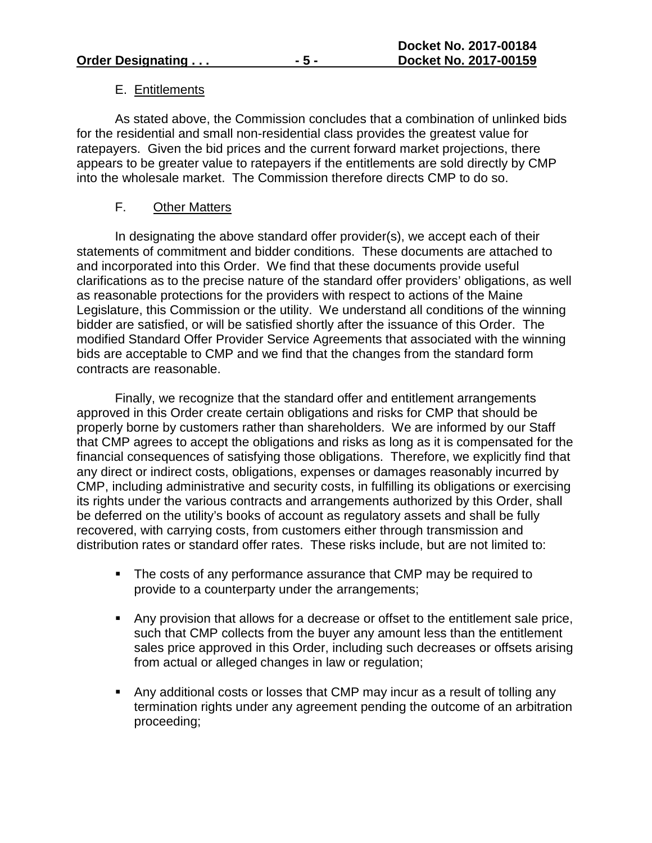## E. Entitlements

As stated above, the Commission concludes that a combination of unlinked bids for the residential and small non-residential class provides the greatest value for ratepayers. Given the bid prices and the current forward market projections, there appears to be greater value to ratepayers if the entitlements are sold directly by CMP into the wholesale market. The Commission therefore directs CMP to do so.

## F. Other Matters

In designating the above standard offer provider(s), we accept each of their statements of commitment and bidder conditions. These documents are attached to and incorporated into this Order. We find that these documents provide useful clarifications as to the precise nature of the standard offer providers' obligations, as well as reasonable protections for the providers with respect to actions of the Maine Legislature, this Commission or the utility. We understand all conditions of the winning bidder are satisfied, or will be satisfied shortly after the issuance of this Order. The modified Standard Offer Provider Service Agreements that associated with the winning bids are acceptable to CMP and we find that the changes from the standard form contracts are reasonable.

Finally, we recognize that the standard offer and entitlement arrangements approved in this Order create certain obligations and risks for CMP that should be properly borne by customers rather than shareholders. We are informed by our Staff that CMP agrees to accept the obligations and risks as long as it is compensated for the financial consequences of satisfying those obligations. Therefore, we explicitly find that any direct or indirect costs, obligations, expenses or damages reasonably incurred by CMP, including administrative and security costs, in fulfilling its obligations or exercising its rights under the various contracts and arrangements authorized by this Order, shall be deferred on the utility's books of account as regulatory assets and shall be fully recovered, with carrying costs, from customers either through transmission and distribution rates or standard offer rates. These risks include, but are not limited to:

- The costs of any performance assurance that CMP may be required to provide to a counterparty under the arrangements;
- Any provision that allows for a decrease or offset to the entitlement sale price, such that CMP collects from the buyer any amount less than the entitlement sales price approved in this Order, including such decreases or offsets arising from actual or alleged changes in law or regulation;
- Any additional costs or losses that CMP may incur as a result of tolling any termination rights under any agreement pending the outcome of an arbitration proceeding;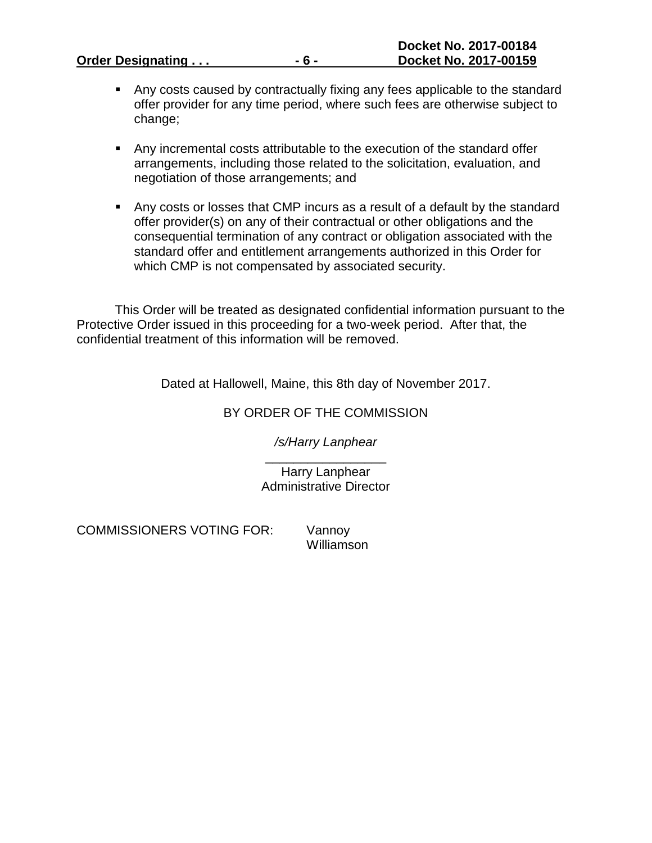**Order Designating ... -6 -**

- Any costs caused by contractually fixing any fees applicable to the standard offer provider for any time period, where such fees are otherwise subject to change;
- Any incremental costs attributable to the execution of the standard offer arrangements, including those related to the solicitation, evaluation, and negotiation of those arrangements; and
- Any costs or losses that CMP incurs as a result of a default by the standard offer provider(s) on any of their contractual or other obligations and the consequential termination of any contract or obligation associated with the standard offer and entitlement arrangements authorized in this Order for which CMP is not compensated by associated security.

This Order will be treated as designated confidential information pursuant to the Protective Order issued in this proceeding for a two-week period. After that, the confidential treatment of this information will be removed.

Dated at Hallowell, Maine, this 8th day of November 2017.

# BY ORDER OF THE COMMISSION

*/s/Harry Lanphear*

\_\_\_\_\_\_\_\_\_\_\_\_\_\_\_\_\_ Harry Lanphear Administrative Director

COMMISSIONERS VOTING FOR: Vannoy

Williamson